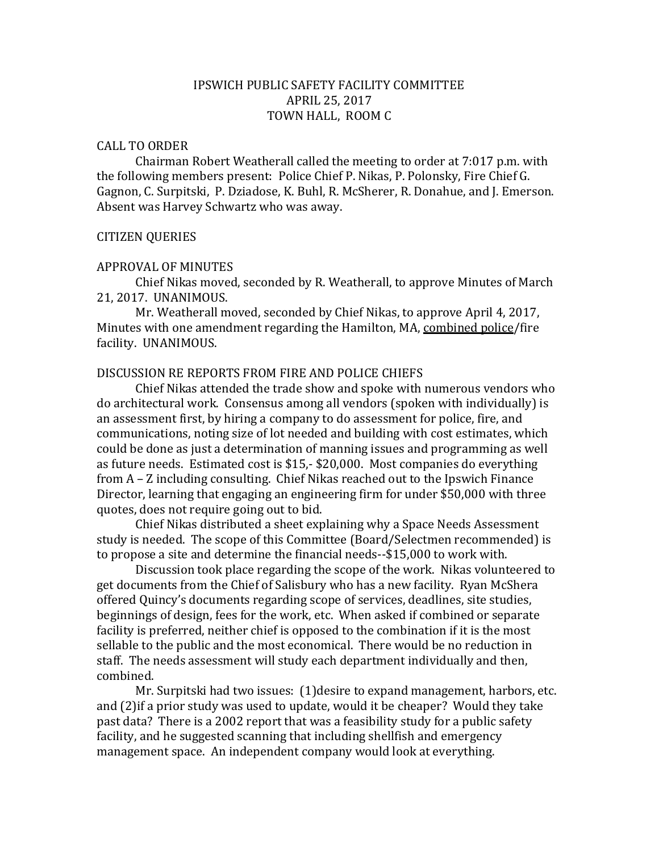# IPSWICH PUBLIC SAFETY FACILITY COMMITTEE APRIL 25, 2017 TOWN HALL, ROOM C

### CALL TO ORDER

Chairman Robert Weatherall called the meeting to order at 7:017 p.m. with the following members present: Police Chief P. Nikas, P. Polonsky, Fire Chief G. Gagnon, C. Surpitski, P. Dziadose, K. Buhl, R. McSherer, R. Donahue, and J. Emerson. Absent was Harvey Schwartz who was away.

## CITIZEN QUERIES

### APPROVAL OF MINUTES

Chief Nikas moved, seconded by R. Weatherall, to approve Minutes of March 21, 2017. UNANIMOUS.

Mr. Weatherall moved, seconded by Chief Nikas, to approve April 4, 2017, Minutes with one amendment regarding the Hamilton, MA, combined police/fire facility. UNANIMOUS.

## DISCUSSION RE REPORTS FROM FIRE AND POLICE CHIEFS

Chief Nikas attended the trade show and spoke with numerous vendors who do architectural work. Consensus among all vendors (spoken with individually) is an assessment first, by hiring a company to do assessment for police, fire, and communications, noting size of lot needed and building with cost estimates, which could be done as just a determination of manning issues and programming as well as future needs. Estimated cost is \$15,- \$20,000. Most companies do everything from A – Z including consulting. Chief Nikas reached out to the Ipswich Finance Director, learning that engaging an engineering firm for under \$50,000 with three quotes, does not require going out to bid.

Chief Nikas distributed a sheet explaining why a Space Needs Assessment study is needed. The scope of this Committee (Board/Selectmen recommended) is to propose a site and determine the financial needs--\$15,000 to work with.

Discussion took place regarding the scope of the work. Nikas volunteered to get documents from the Chief of Salisbury who has a new facility. Ryan McShera offered Quincy's documents regarding scope of services, deadlines, site studies, beginnings of design, fees for the work, etc. When asked if combined or separate facility is preferred, neither chief is opposed to the combination if it is the most sellable to the public and the most economical. There would be no reduction in staff. The needs assessment will study each department individually and then, combined.

Mr. Surpitski had two issues: (1)desire to expand management, harbors, etc. and (2)if a prior study was used to update, would it be cheaper? Would they take past data? There is a 2002 report that was a feasibility study for a public safety facility, and he suggested scanning that including shellfish and emergency management space. An independent company would look at everything.